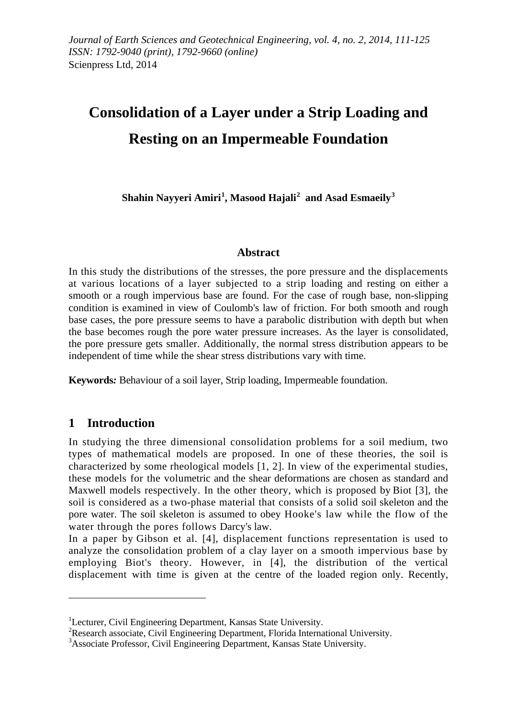# **Consolidation of a Layer under a Strip Loading and Resting on an Impermeable Foundation**

**Shahin Nayyeri Amiri[1](#page-0-0) , Masood Hajali[2](#page-0-1) and Asad Esmaeily[3](#page-0-2)**

#### **Abstract**

In this study the distributions of the stresses, the pore pressure and the displacements at various locations of a layer subjected to a strip loading and resting on either a smooth or a rough impervious base are found. For the case of rough base, non-slipping condition is examined in view of Coulomb's law of friction. For both smooth and rough base cases, the pore pressure seems to have a parabolic distribution with depth but when the base becomes rough the pore water pressure increases. As the layer is consolidated, the pore pressure gets smaller. Additionally, the normal stress distribution appears to be independent of time while the shear stress distributions vary with time.

**Keywords***:* Behaviour of a soil layer, Strip loading, Impermeable foundation.

# **1 Introduction**

 $\overline{a}$ 

In studying the three dimensional consolidation problems for a soil medium, two types of mathematical models are proposed. In one of these theories, the soil is characterized by some rheological models [1, 2]. In view of the experimental studies, these models for the volumetric and the shear deformations are chosen as standard and Maxwell models respectively. In the other theory, which is proposed by Biot [3], the soil is considered as a two-phase material that consists of a solid soil skeleton and the pore water. The soil skeleton is assumed to obey Hooke's law while the flow of the water through the pores follows Darcy's law.

In a paper by Gibson et al. [4], displacement functions representation is used to analyze the consolidation problem of a clay layer on a smooth impervious base by employing Biot's theory. However, in [4], the distribution of the vertical displacement with time is given at the centre of the loaded region only. Recently,

<span id="page-0-0"></span><sup>&</sup>lt;sup>1</sup>Lecturer, Civil Engineering Department, Kansas State University.<br><sup>2</sup>Research associate, Civil Engineering Department, Elecida Interna

<span id="page-0-1"></span><sup>&</sup>lt;sup>2</sup>Research associate, Civil Engineering Department, Florida International University.

<span id="page-0-2"></span><sup>&</sup>lt;sup>3</sup> Associate Professor, Civil Engineering Department, Kansas State University.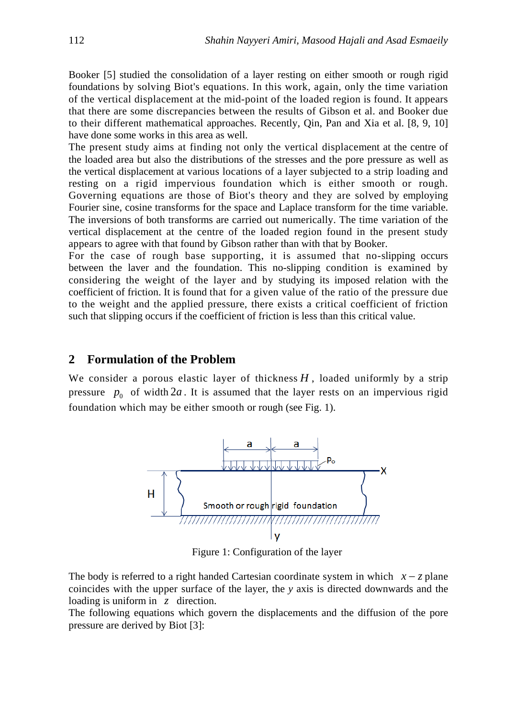Booker [5] studied the consolidation of a layer resting on either smooth or rough rigid foundations by solving Biot's equations. In this work, again, only the time variation of the vertical displacement at the mid-point of the loaded region is found. It appears that there are some discrepancies between the results of Gibson et al. and Booker due to their different mathematical approaches. Recently, Qin, Pan and Xia et al. [8, 9, 10] have done some works in this area as well.

The present study aims at finding not only the vertical displacement at the centre of the loaded area but also the distributions of the stresses and the pore pressure as well as the vertical displacement at various locations of a layer subjected to a strip loading and resting on a rigid impervious foundation which is either smooth or rough. Governing equations are those of Biot's theory and they are solved by employing Fourier sine, cosine transforms for the space and Laplace transform for the time variable. The inversions of both transforms are carried out numerically. The time variation of the vertical displacement at the centre of the loaded region found in the present study appears to agree with that found by Gibson rather than with that by Booker.

For the case of rough base supporting, it is assumed that no-slipping occurs between the laver and the foundation. This no-slipping condition is examined by considering the weight of the layer and by studying its imposed relation with the coefficient of friction. It is found that for a given value of the ratio of the pressure due to the weight and the applied pressure, there exists a critical coefficient of friction such that slipping occurs if the coefficient of friction is less than this critical value.

#### **2 Formulation of the Problem**

We consider a porous elastic layer of thickness  $H$ , loaded uniformly by a strip pressure  $p_0$  of width  $2a$ . It is assumed that the layer rests on an impervious rigid foundation which may be either smooth or rough (see Fig. 1).



Figure 1: Configuration of the layer

The body is referred to a right handed Cartesian coordinate system in which *x* − *z* plane coincides with the upper surface of the layer, the *y* axis is directed downwards and the loading is uniform in *z* direction.

The following equations which govern the displacements and the diffusion of the pore pressure are derived by Biot [3]: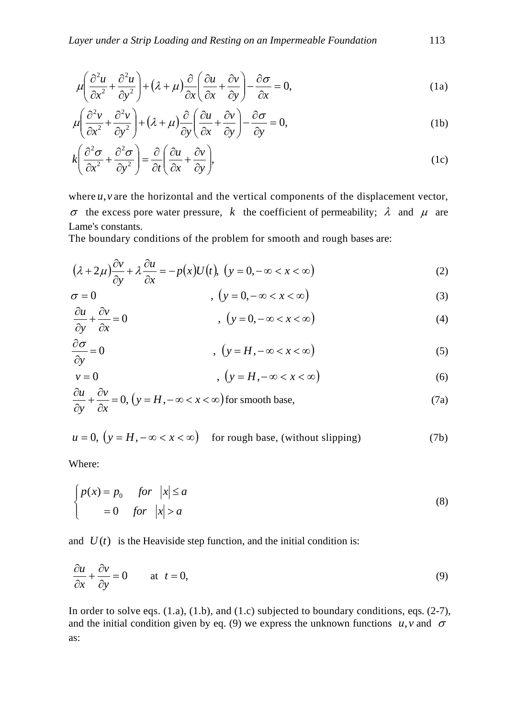$$
\mu \left( \frac{\partial^2 u}{\partial x^2} + \frac{\partial^2 u}{\partial y^2} \right) + \left( \lambda + \mu \right) \frac{\partial}{\partial x} \left( \frac{\partial u}{\partial x} + \frac{\partial v}{\partial y} \right) - \frac{\partial \sigma}{\partial x} = 0,
$$
\n(1a)

$$
\mu \left( \frac{\partial^2 v}{\partial x^2} + \frac{\partial^2 v}{\partial y^2} \right) + \left( \lambda + \mu \right) \frac{\partial}{\partial y} \left( \frac{\partial u}{\partial x} + \frac{\partial v}{\partial y} \right) - \frac{\partial \sigma}{\partial y} = 0,
$$
\n(1b)

$$
k\left(\frac{\partial^2 \sigma}{\partial x^2} + \frac{\partial^2 \sigma}{\partial y^2}\right) = \frac{\partial}{\partial t}\left(\frac{\partial u}{\partial x} + \frac{\partial v}{\partial y}\right),\tag{1c}
$$

where  $u, v$  are the horizontal and the vertical components of the displacement vector, σ the excess pore water pressure, *k* the coefficient of permeability; λ and  $\mu$  are Lame's constants.

The boundary conditions of the problem for smooth and rough bases are:

$$
(\lambda + 2\mu)\frac{\partial v}{\partial y} + \lambda \frac{\partial u}{\partial x} = -p(x)U(t), \ (y = 0, -\infty < x < \infty)
$$
 (2)

$$
\sigma = 0 \qquad (y = 0, -\infty < x < \infty) \tag{3}
$$

$$
\frac{\partial u}{\partial y} + \frac{\partial v}{\partial x} = 0 \qquad (4)
$$

$$
\frac{\partial \sigma}{\partial y} = 0 \qquad (5)
$$

$$
v = 0 \qquad , \quad (y = H, -\infty < x < \infty) \tag{6}
$$

$$
\frac{\partial u}{\partial y} + \frac{\partial v}{\partial x} = 0, \left( y = H, -\infty < x < \infty \right) \text{ for smooth base,}
$$
\n(7a)

$$
u = 0, (y = H, -\infty < x < \infty)
$$
 for rough base, (without slipping) (7b)

Where:

$$
\begin{cases}\np(x) = p_0 & \text{for } |x| \le a \\
= 0 & \text{for } |x| > a\n\end{cases}
$$
\n(8)

and  $U(t)$  is the Heaviside step function, and the initial condition is:

$$
\frac{\partial u}{\partial x} + \frac{\partial v}{\partial y} = 0 \quad \text{at } t = 0,
$$
\n(9)

In order to solve eqs.  $(1.a)$ ,  $(1.b)$ , and  $(1.c)$  subjected to boundary conditions, eqs.  $(2-7)$ , and the initial condition given by eq. (9) we express the unknown functions  $u, v$  and  $\sigma$ as: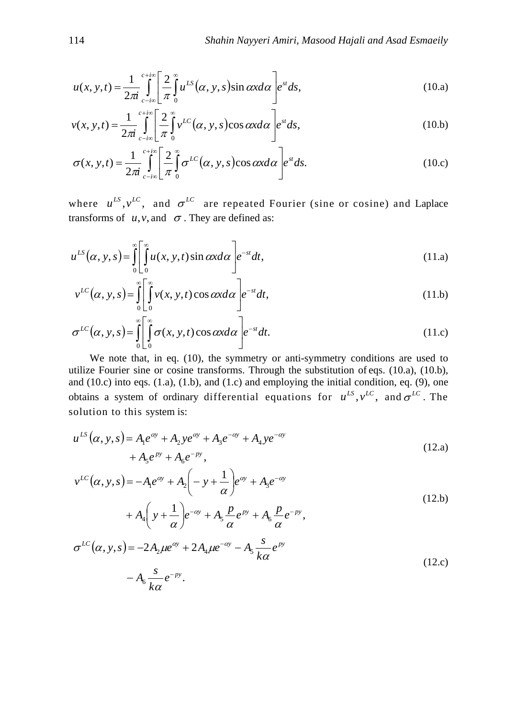$$
u(x, y, t) = \frac{1}{2\pi i} \int_{c-i\infty}^{c+i\infty} \left[ \frac{2}{\pi} \int_0^{\infty} u^{LS} (\alpha, y, s) \sin \alpha x d\alpha \right] e^{st} ds,
$$
 (10.a)

$$
v(x, y, t) = \frac{1}{2\pi i} \int_{c-i\infty}^{c+i\infty} \left[ \frac{2}{\pi} \int_{0}^{\infty} v^{LC}(\alpha, y, s) \cos \alpha x d\alpha \right] e^{st} ds,
$$
 (10.b)

$$
\sigma(x, y, t) = \frac{1}{2\pi i} \int_{c-i\infty}^{c+i\infty} \left[ \frac{2}{\pi} \int_{0}^{\infty} \sigma^{LC}(\alpha, y, s) \cos \alpha x d\alpha \right] e^{st} ds.
$$
 (10.c)

where  $u^{LS}$ ,  $v^{LC}$ , and  $\sigma^{LC}$  are repeated Fourier (sine or cosine) and Laplace transforms of  $u, v$ , and  $\sigma$ . They are defined as:

$$
u^{LS}(\alpha, y, s) = \int_{0}^{\infty} \left[ \int_{0}^{\infty} u(x, y, t) \sin \alpha x \, d\alpha \right] e^{-st} \, dt,\tag{11.1}
$$

$$
v^{LC}(\alpha, y, s) = \int_{0}^{\infty} \left[ \int_{0}^{\infty} v(x, y, t) \cos \alpha x d\alpha \right] e^{-st} dt,
$$
\n(11.b)

$$
\sigma^{LC}(\alpha, y, s) = \int_{0}^{\infty} \left[ \int_{0}^{\infty} \sigma(x, y, t) \cos \alpha x d\alpha \right] e^{-st} dt.
$$
 (11.c)

 We note that, in eq. (10), the symmetry or anti-symmetry conditions are used to utilize Fourier sine or cosine transforms. Through the substitution of eqs. (10.a), (10.b), and  $(10.c)$  into eqs.  $(1.a)$ ,  $(1.b)$ , and  $(1.c)$  and employing the initial condition, eq.  $(9)$ , one obtains a system of ordinary differential equations for  $u^{LS}$ ,  $v^{LC}$ , and  $\sigma^{LC}$ . The solution to this system is:

$$
u^{LS}(\alpha, y, s) = A_1 e^{\alpha y} + A_2 y e^{\alpha y} + A_3 e^{-\alpha y} + A_4 y e^{-\alpha y} + A_5 e^{py} + A_6 e^{-py},
$$
\n(12. a)

$$
v^{LC}(\alpha, y, s) = -A_1 e^{\alpha y} + A_2 \left(-y + \frac{1}{\alpha}\right) e^{\alpha y} + A_3 e^{-\alpha y} + A_4 \left(y + \frac{1}{\alpha}\right) e^{-\alpha y} + A_5 \frac{p}{\alpha} e^{py} + A_6 \frac{p}{\alpha} e^{-py},
$$
(12.b)

$$
\sigma^{LC}(\alpha, y, s) = -2A_2 \mu e^{\alpha y} + 2A_4 \mu e^{-\alpha y} - A_5 \frac{s}{k\alpha} e^{py}
$$
  

$$
-A_6 \frac{s}{k\alpha} e^{-py}.
$$
 (12.c)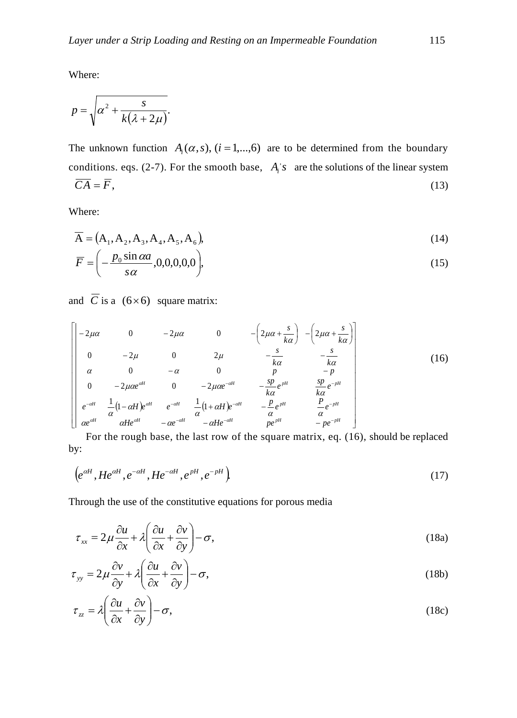Where:

$$
p = \sqrt{\alpha^2 + \frac{s}{k(\lambda + 2\mu)}}.
$$

The unknown function  $A_i(\alpha, s)$ ,  $(i = 1,...,6)$  are to be determined from the boundary conditions. eqs. (2-7). For the smooth base,  $A_i$ 's are the solutions of the linear system  $\overline{CA} = \overline{F}$ , (13)

Where:

$$
\overline{A} = (A_1, A_2, A_3, A_4, A_5, A_6),
$$
\n(14)

$$
\overline{F} = \left(-\frac{p_0 \sin \alpha a}{s \alpha}, 0, 0, 0, 0, 0\right),\tag{15}
$$

and  $\overline{C}$  is a (6×6) square matrix:

$$
\begin{bmatrix}\n-2\mu\alpha & 0 & -2\mu\alpha & 0 & -\left(2\mu\alpha + \frac{s}{k\alpha}\right) & -\left(2\mu\alpha + \frac{s}{k\alpha}\right) \\
0 & -2\mu & 0 & 2\mu & -\frac{s}{k\alpha} & -\frac{s}{k\alpha} \\
\alpha & 0 & -\alpha & 0 & p & -p \\
0 & -2\mu\alpha e^{at} & 0 & -2\mu\alpha e^{-at} & -\frac{sp}{k\alpha}e^{pt} & \frac{sp}{k\alpha}e^{-pt} \\
e^{-at} & \frac{1}{\alpha}\left(1-\alpha H\right)e^{at} & e^{-at} & \frac{1}{\alpha}\left(1+\alpha H\right)e^{-at} & -\frac{p}{\alpha}e^{pt} & \frac{P}{\alpha}e^{-pt} \\
\alpha e^{at} & \alpha He^{at} & -\alpha e^{-at} & -\alpha He^{-at} & pe^{pt} & -pe^{-pt}\n\end{bmatrix}
$$
\n(16)

For the rough base, the last row of the square matrix, eq. (16), should be replaced by:

$$
\left(e^{\alpha H},He^{\alpha H},e^{-\alpha H},He^{-\alpha H},e^{pH},e^{-pH}\right)
$$
\n
$$
\tag{17}
$$

Through the use of the constitutive equations for porous media

$$
\tau_{xx} = 2\mu \frac{\partial u}{\partial x} + \lambda \left( \frac{\partial u}{\partial x} + \frac{\partial v}{\partial y} \right) - \sigma,
$$
\n(18a)

$$
\tau_{yy} = 2\mu \frac{\partial v}{\partial y} + \lambda \left( \frac{\partial u}{\partial x} + \frac{\partial v}{\partial y} \right) - \sigma,
$$
\n(18b)

$$
\tau_{zz} = \lambda \left( \frac{\partial u}{\partial x} + \frac{\partial v}{\partial y} \right) - \sigma,
$$
\n(18c)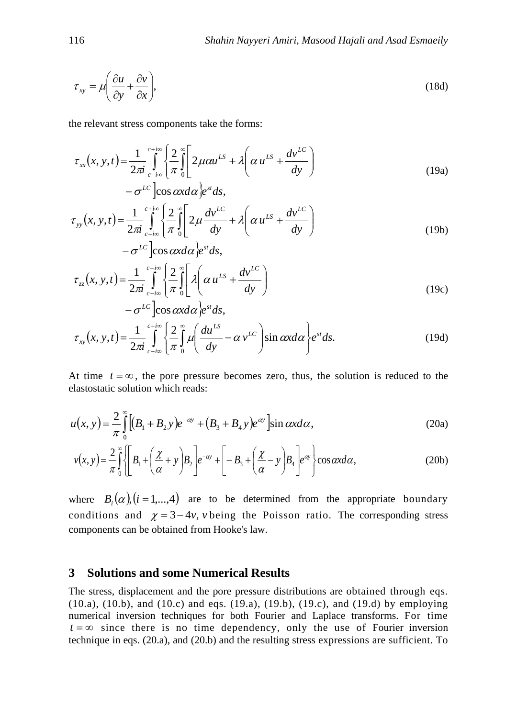$$
\tau_{xy} = \mu \left( \frac{\partial u}{\partial y} + \frac{\partial v}{\partial x} \right),\tag{18d}
$$

the relevant stress components take the forms:

$$
\tau_{xx}(x, y, t) = \frac{1}{2\pi i} \int_{c-i\infty}^{c+i\infty} \left\{ \frac{2}{\pi} \int_{0}^{\infty} \left[ 2\mu \alpha u^{LS} + \lambda \left( \alpha u^{LS} + \frac{dv^{LC}}{dy} \right) - \sigma^{LC} \right] \cos \alpha x d\alpha \right\} e^{st} ds,
$$
\n(19a)

$$
\tau_{yy}(x, y, t) = \frac{1}{2\pi i} \int_{c-i\infty}^{c+i\infty} \left\{ \frac{2}{\pi} \int_{0}^{\infty} \left[ 2\mu \frac{dv^{LC}}{dy} + \lambda \left( \alpha u^{LS} + \frac{dv^{LC}}{dy} \right) - \sigma^{LC} \right] \cos \alpha x d\alpha \right\} e^{st} ds,
$$
\n(19b)

$$
\tau_{zz}(x, y, t) = \frac{1}{2\pi i} \int_{c-i\infty}^{c+i\infty} \left\{ \frac{2}{\pi} \int_{0}^{\infty} \left[ \lambda \left( \alpha u^{LS} + \frac{dv^{LC}}{dy} \right) - \sigma^{LC} \right] \cos \alpha x d\alpha \right\} e^{st} ds,
$$
\n(19c)

$$
\tau_{xy}(x, y, t) = \frac{1}{2\pi i} \int_{c-i\infty}^{c+i\infty} \left\{ \frac{2}{\pi} \int_{0}^{\infty} \mu \left( \frac{du^{LS}}{dy} - \alpha v^{LC} \right) \sin \alpha x d\alpha \right\} e^{st} ds.
$$
 (19d)

At time  $t = \infty$ , the pore pressure becomes zero, thus, the solution is reduced to the elastostatic solution which reads:

$$
u(x, y) = \frac{2}{\pi} \int_{0}^{\infty} \left[ (B_1 + B_2 y) e^{-\alpha y} + (B_3 + B_4 y) e^{\alpha y} \right] \sin \alpha x d\alpha,
$$
 (20a)

$$
v(x,y) = \frac{2}{\pi} \int_{0}^{\infty} \left\{ \left[ B_1 + \left( \frac{\chi}{\alpha} + y \right) B_2 \right] e^{-\alpha y} + \left[ -B_3 + \left( \frac{\chi}{\alpha} - y \right) B_4 \right] e^{\alpha y} \right\} \cos \alpha x d\alpha, \tag{20b}
$$

where  $B_i(\alpha)$ ,  $(i = 1,...,4)$  are to be determined from the appropriate boundary conditions and  $\chi = 3-4v$ , *v* being the Poisson ratio. The corresponding stress components can be obtained from Hooke's law.

### **3 Solutions and some Numerical Results**

The stress, displacement and the pore pressure distributions are obtained through eqs. (10.a), (10.b), and (10.c) and eqs. (19.a), (19.b), (19.c), and (19.d) by employing numerical inversion techniques for both Fourier and Laplace transforms. For time  $t = \infty$  since there is no time dependency, only the use of Fourier inversion technique in eqs. (20.a), and (20.b) and the resulting stress expressions are sufficient. To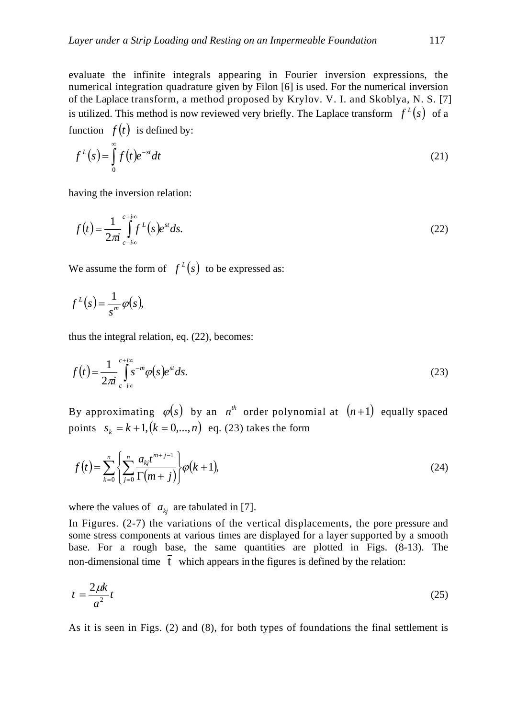evaluate the infinite integrals appearing in Fourier inversion expressions, the numerical integration quadrature given by Filon [6] is used. For the numerical inversion of the Laplace transform, a method proposed by Krylov. V. I. and Skoblya, N. S. [7] is utilized. This method is now reviewed very briefly. The Laplace transform  $f^L(s)$  of a function  $f(t)$  is defined by:

$$
f^{L}(s) = \int_{0}^{\infty} f(t)e^{-st}dt
$$
\n(21)

having the inversion relation:

$$
f(t) = \frac{1}{2\pi i} \int_{c-i\infty}^{c+i\infty} f^{L}(s)e^{st}ds.
$$
 (22)

We assume the form of  $f<sup>L</sup>(s)$  to be expressed as:

$$
f^L(s) = \frac{1}{s^m} \varphi(s),
$$

thus the integral relation, eq. (22), becomes:

$$
f(t) = \frac{1}{2\pi i} \int_{c-i\infty}^{c+i\infty} s^{-m} \varphi(s) e^{st} ds.
$$
 (23)

By approximating  $\varphi(s)$  by an  $n^{th}$  order polynomial at  $(n+1)$  equally spaced points  $s_k = k + 1$ ,  $(k = 0,..., n)$  eq. (23) takes the form

$$
f(t) = \sum_{k=0}^{n} \left\{ \sum_{j=0}^{n} \frac{a_{kj} t^{m+j-1}}{\Gamma(m+j)} \right\} \varphi(k+1),
$$
 (24)

where the values of  $a_{ki}$  are tabulated in [7].

In Figures. (2-7) the variations of the vertical displacements, the pore pressure and some stress components at various times are displayed for a layer supported by a smooth base. For a rough base, the same quantities are plotted in Figs. (8-13). The non-dimensional time  $\overline{t}$  which appears in the figures is defined by the relation:

$$
\bar{t} = \frac{2\mu k}{a^2}t\tag{25}
$$

As it is seen in Figs. (2) and (8), for both types of foundations the final settlement is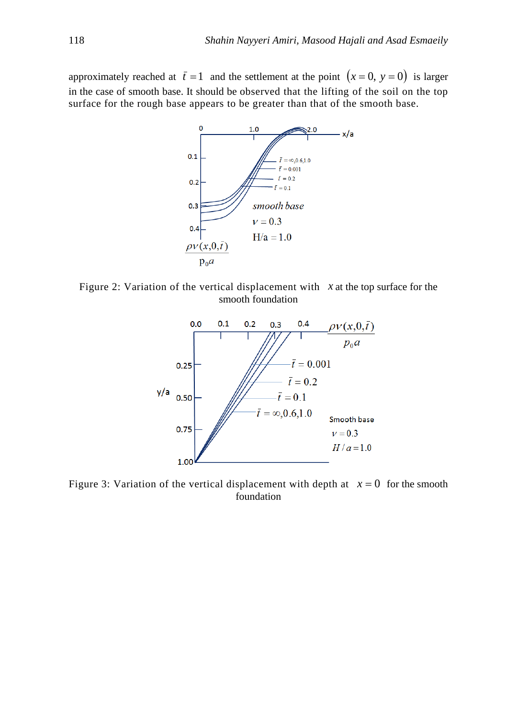approximately reached at  $\bar{t} = 1$  and the settlement at the point  $(x = 0, y = 0)$  is larger in the case of smooth base. It should be observed that the lifting of the soil on the top surface for the rough base appears to be greater than that of the smooth base.



Figure 2: Variation of the vertical displacement with *x* at the top surface for the smooth foundation



Figure 3: Variation of the vertical displacement with depth at  $x = 0$  for the smooth foundation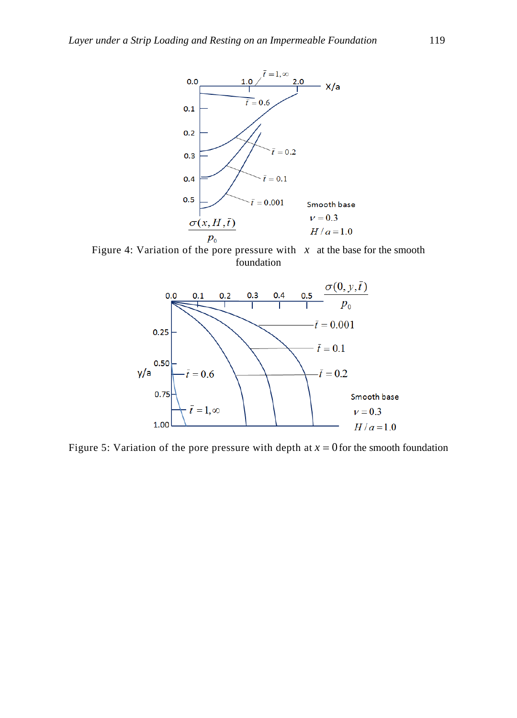

Figure 4: Variation of the pore pressure with  $x$  at the base for the smooth foundation



Figure 5: Variation of the pore pressure with depth at  $x = 0$  for the smooth foundation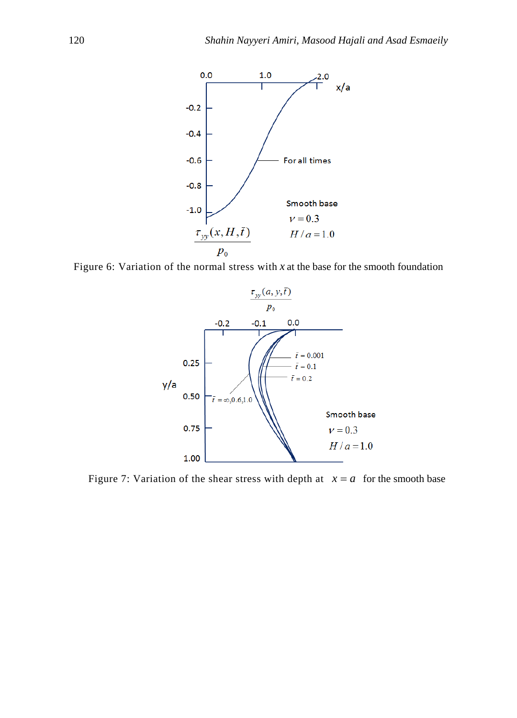

Figure 6: Variation of the normal stress with *x* at the base for the smooth foundation



Figure 7: Variation of the shear stress with depth at  $x = a$  for the smooth base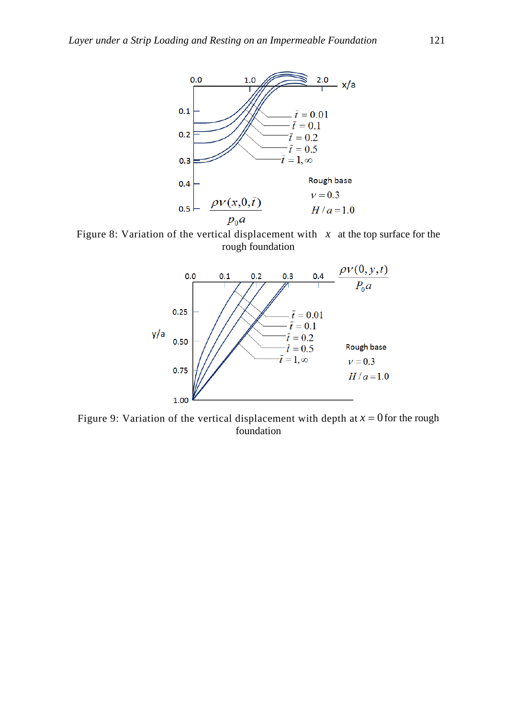

Figure 8: Variation of the vertical displacement with  $x$  at the top surface for the rough foundation



Figure 9: Variation of the vertical displacement with depth at  $x = 0$  for the rough foundation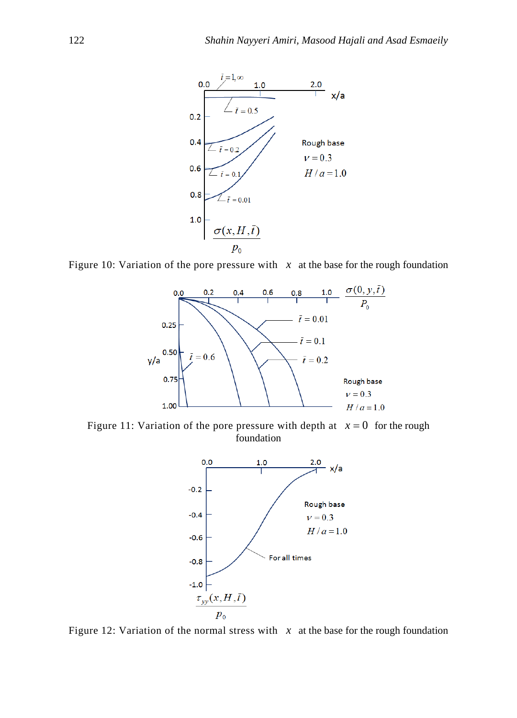

Figure 10: Variation of the pore pressure with  $x$  at the base for the rough foundation



Figure 11: Variation of the pore pressure with depth at  $x = 0$  for the rough foundation



Figure 12: Variation of the normal stress with  $x$  at the base for the rough foundation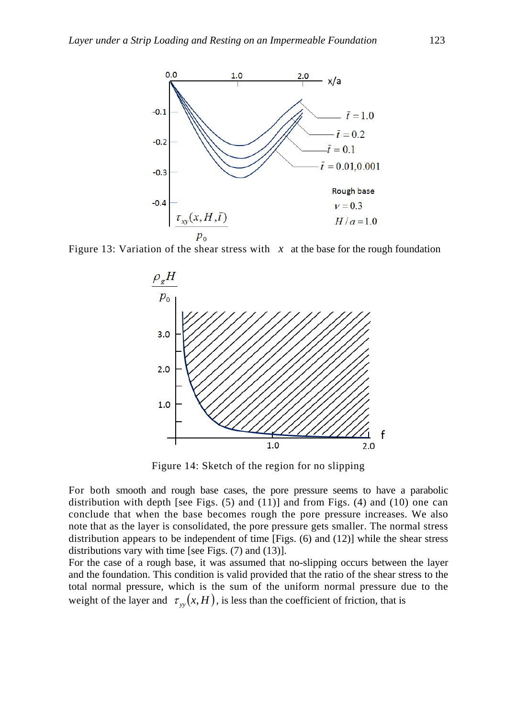

Figure 13: Variation of the shear stress with  $x$  at the base for the rough foundation



Figure 14: Sketch of the region for no slipping

For both smooth and rough base cases, the pore pressure seems to have a parabolic distribution with depth [see Figs.  $(5)$  and  $(11)$ ] and from Figs.  $(4)$  and  $(10)$  one can conclude that when the base becomes rough the pore pressure increases. We also note that as the layer is consolidated, the pore pressure gets smaller. The normal stress distribution appears to be independent of time [Figs. (6) and (12)] while the shear stress distributions vary with time [see Figs. (7) and (13)].

For the case of a rough base, it was assumed that no-slipping occurs between the layer and the foundation. This condition is valid provided that the ratio of the shear stress to the total normal pressure, which is the sum of the uniform normal pressure due to the weight of the layer and  $\tau_w(x, H)$ , is less than the coefficient of friction, that is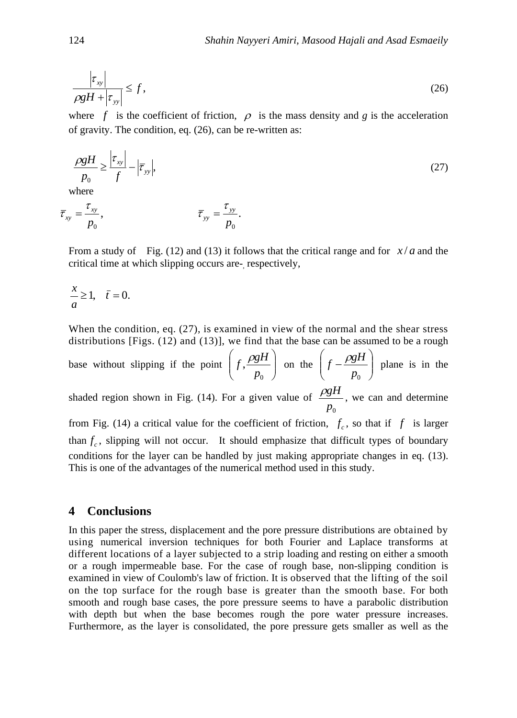$$
\frac{\left|\tau_{xy}\right|}{\rho g H + \left|\tau_{yy}\right|} \le f,\tag{26}
$$

where f is the coefficient of friction,  $\rho$  is the mass density and g is the acceleration of gravity. The condition, eq. (26), can be re-written as:

$$
\frac{\rho g H}{p_0} \ge \frac{\left|\tau_{xy}\right|}{f} - \left|\overline{\tau}_{yy}\right|,\tag{27}
$$
\nwhere

$$
\overline{\tau}_{xy} = \frac{\tau_{xy}}{p_0}, \qquad \overline{\tau}_{yy} = \frac{\tau_{yy}}{p_0}.
$$

From a study of Fig. (12) and (13) it follows that the critical range and for *x* / *a* and the critical time at which slipping occurs are- respectively,

$$
\frac{x}{a} \ge 1, \quad \bar{t} = 0.
$$

When the condition, eq. (27), is examined in view of the normal and the shear stress distributions [Figs.  $(12)$  and  $(13)$ ], we find that the base can be assumed to be a rough

base without slipping if the point  $\left|f, \frac{P g H}{P}\right|$ J  $\setminus$  $\overline{\phantom{a}}$  $\setminus$ ſ  $f, \frac{\rho g H}{p_0}$  on the  $\left(f - \frac{\rho g H}{p_0}\right)$  $\bigg)$  $\setminus$  $\overline{\phantom{a}}$  $\setminus$  $\int f$  $p_{0}$  $f - \frac{\rho g H}{g}$  plane is in the shaded region shown in Fig. (14). For a given value of *p*0  $\rho gH$ , we can and determine from Fig. (14) a critical value for the coefficient of friction,  $f_c$ , so that if  $f$  is larger than  $f_c$ , slipping will not occur. It should emphasize that difficult types of boundary conditions for the layer can be handled by just making appropriate changes in eq. (13). This is one of the advantages of the numerical method used in this study.

## **4 Conclusions**

In this paper the stress, displacement and the pore pressure distributions are obtained by using numerical inversion techniques for both Fourier and Laplace transforms at different locations of a layer subjected to a strip loading and resting on either a smooth or a rough impermeable base. For the case of rough base, non-slipping condition is examined in view of Coulomb's law of friction. It is observed that the lifting of the soil on the top surface for the rough base is greater than the smooth base. For both smooth and rough base cases, the pore pressure seems to have a parabolic distribution with depth but when the base becomes rough the pore water pressure increases. Furthermore, as the layer is consolidated, the pore pressure gets smaller as well as the